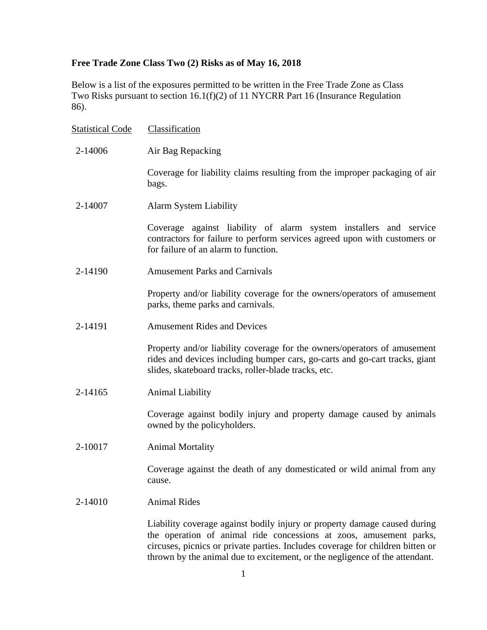## **Free Trade Zone Class Two (2) Risks as of May 16, 2018**

Below is a list of the exposures permitted to be written in the Free Trade Zone as Class Two Risks pursuant to section 16.1(f)(2) of 11 NYCRR Part 16 (Insurance Regulation 86).

| <b>Statistical Code</b> | Classification                                                                                                                                                                                                                                                                                                   |
|-------------------------|------------------------------------------------------------------------------------------------------------------------------------------------------------------------------------------------------------------------------------------------------------------------------------------------------------------|
| 2-14006                 | Air Bag Repacking                                                                                                                                                                                                                                                                                                |
|                         | Coverage for liability claims resulting from the improper packaging of air<br>bags.                                                                                                                                                                                                                              |
| 2-14007                 | Alarm System Liability                                                                                                                                                                                                                                                                                           |
|                         | Coverage against liability of alarm system installers and service<br>contractors for failure to perform services agreed upon with customers or<br>for failure of an alarm to function.                                                                                                                           |
| 2-14190                 | <b>Amusement Parks and Carnivals</b>                                                                                                                                                                                                                                                                             |
|                         | Property and/or liability coverage for the owners/operators of amusement<br>parks, theme parks and carnivals.                                                                                                                                                                                                    |
| 2-14191                 | <b>Amusement Rides and Devices</b>                                                                                                                                                                                                                                                                               |
|                         | Property and/or liability coverage for the owners/operators of amusement<br>rides and devices including bumper cars, go-carts and go-cart tracks, giant<br>slides, skateboard tracks, roller-blade tracks, etc.                                                                                                  |
| 2-14165                 | Animal Liability                                                                                                                                                                                                                                                                                                 |
|                         | Coverage against bodily injury and property damage caused by animals<br>owned by the policyholders.                                                                                                                                                                                                              |
| 2-10017                 | <b>Animal Mortality</b>                                                                                                                                                                                                                                                                                          |
|                         | Coverage against the death of any domesticated or wild animal from any<br>cause.                                                                                                                                                                                                                                 |
| 2-14010                 | <b>Animal Rides</b>                                                                                                                                                                                                                                                                                              |
|                         | Liability coverage against bodily injury or property damage caused during<br>the operation of animal ride concessions at zoos, amusement parks,<br>circuses, picnics or private parties. Includes coverage for children bitten or<br>thrown by the animal due to excitement, or the negligence of the attendant. |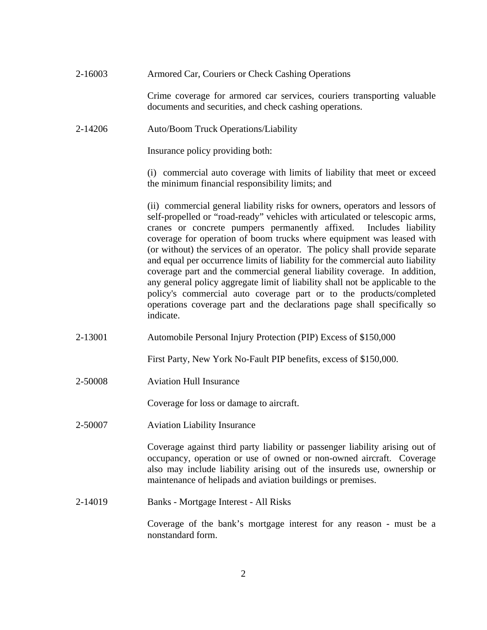2-16003 Armored Car, Couriers or Check Cashing Operations

Crime coverage for armored car services, couriers transporting valuable documents and securities, and check cashing operations.

2-14206 Auto/Boom Truck Operations/Liability

Insurance policy providing both:

(i) commercial auto coverage with limits of liability that meet or exceed the minimum financial responsibility limits; and

(ii) commercial general liability risks for owners, operators and lessors of self-propelled or "road-ready" vehicles with articulated or telescopic arms, cranes or concrete pumpers permanently affixed. Includes liability coverage for operation of boom trucks where equipment was leased with (or without) the services of an operator. The policy shall provide separate and equal per occurrence limits of liability for the commercial auto liability coverage part and the commercial general liability coverage. In addition, any general policy aggregate limit of liability shall not be applicable to the policy's commercial auto coverage part or to the products/completed operations coverage part and the declarations page shall specifically so indicate.

2-13001 Automobile Personal Injury Protection (PIP) Excess of \$150,000

First Party, New York No-Fault PIP benefits, excess of \$150,000.

2-50008 Aviation Hull Insurance

Coverage for loss or damage to aircraft.

2-50007 Aviation Liability Insurance

Coverage against third party liability or passenger liability arising out of occupancy, operation or use of owned or non-owned aircraft. Coverage also may include liability arising out of the insureds use, ownership or maintenance of helipads and aviation buildings or premises.

2-14019 Banks - Mortgage Interest - All Risks

Coverage of the bank's mortgage interest for any reason - must be a nonstandard form.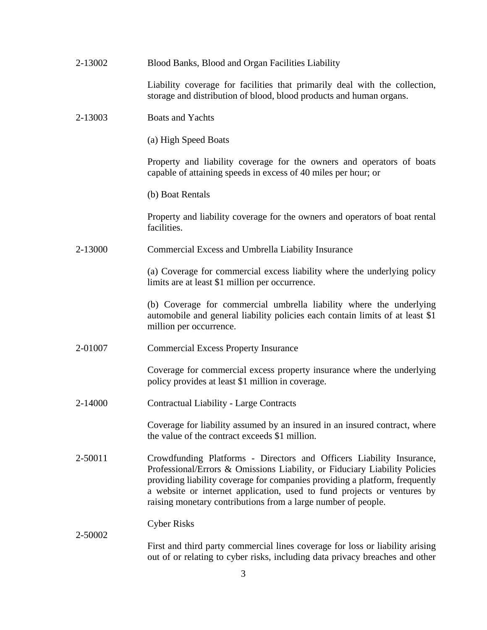| 2-13002 | Blood Banks, Blood and Organ Facilities Liability                                                                                                                                                                                                                                                                                                                             |
|---------|-------------------------------------------------------------------------------------------------------------------------------------------------------------------------------------------------------------------------------------------------------------------------------------------------------------------------------------------------------------------------------|
|         | Liability coverage for facilities that primarily deal with the collection,<br>storage and distribution of blood, blood products and human organs.                                                                                                                                                                                                                             |
| 2-13003 | <b>Boats and Yachts</b>                                                                                                                                                                                                                                                                                                                                                       |
|         | (a) High Speed Boats                                                                                                                                                                                                                                                                                                                                                          |
|         | Property and liability coverage for the owners and operators of boats<br>capable of attaining speeds in excess of 40 miles per hour; or                                                                                                                                                                                                                                       |
|         | (b) Boat Rentals                                                                                                                                                                                                                                                                                                                                                              |
|         | Property and liability coverage for the owners and operators of boat rental<br>facilities.                                                                                                                                                                                                                                                                                    |
| 2-13000 | Commercial Excess and Umbrella Liability Insurance                                                                                                                                                                                                                                                                                                                            |
|         | (a) Coverage for commercial excess liability where the underlying policy<br>limits are at least \$1 million per occurrence.                                                                                                                                                                                                                                                   |
|         | (b) Coverage for commercial umbrella liability where the underlying<br>automobile and general liability policies each contain limits of at least \$1<br>million per occurrence.                                                                                                                                                                                               |
| 2-01007 | <b>Commercial Excess Property Insurance</b>                                                                                                                                                                                                                                                                                                                                   |
|         | Coverage for commercial excess property insurance where the underlying<br>policy provides at least \$1 million in coverage.                                                                                                                                                                                                                                                   |
| 2-14000 | <b>Contractual Liability - Large Contracts</b>                                                                                                                                                                                                                                                                                                                                |
|         | Coverage for liability assumed by an insured in an insured contract, where<br>the value of the contract exceeds \$1 million.                                                                                                                                                                                                                                                  |
| 2-50011 | Crowdfunding Platforms - Directors and Officers Liability Insurance,<br>Professional/Errors & Omissions Liability, or Fiduciary Liability Policies<br>providing liability coverage for companies providing a platform, frequently<br>a website or internet application, used to fund projects or ventures by<br>raising monetary contributions from a large number of people. |
|         | <b>Cyber Risks</b>                                                                                                                                                                                                                                                                                                                                                            |
| 2-50002 | First and third party commercial lines coverage for loss or liability arising<br>out of or relating to cyber risks, including data privacy breaches and other                                                                                                                                                                                                                 |
|         |                                                                                                                                                                                                                                                                                                                                                                               |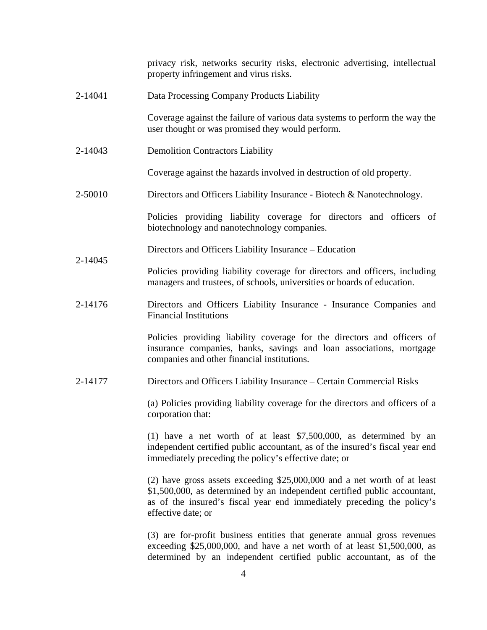|         | privacy risk, networks security risks, electronic advertising, intellectual<br>property infringement and virus risks.                                                                                                                                   |
|---------|---------------------------------------------------------------------------------------------------------------------------------------------------------------------------------------------------------------------------------------------------------|
| 2-14041 | Data Processing Company Products Liability                                                                                                                                                                                                              |
|         | Coverage against the failure of various data systems to perform the way the<br>user thought or was promised they would perform.                                                                                                                         |
| 2-14043 | <b>Demolition Contractors Liability</b>                                                                                                                                                                                                                 |
|         | Coverage against the hazards involved in destruction of old property.                                                                                                                                                                                   |
| 2-50010 | Directors and Officers Liability Insurance - Biotech & Nanotechnology.                                                                                                                                                                                  |
|         | Policies providing liability coverage for directors and officers of<br>biotechnology and nanotechnology companies.                                                                                                                                      |
|         | Directors and Officers Liability Insurance – Education                                                                                                                                                                                                  |
| 2-14045 | Policies providing liability coverage for directors and officers, including<br>managers and trustees, of schools, universities or boards of education.                                                                                                  |
| 2-14176 | Directors and Officers Liability Insurance - Insurance Companies and<br><b>Financial Institutions</b>                                                                                                                                                   |
|         | Policies providing liability coverage for the directors and officers of<br>insurance companies, banks, savings and loan associations, mortgage<br>companies and other financial institutions.                                                           |
| 2-14177 | Directors and Officers Liability Insurance – Certain Commercial Risks                                                                                                                                                                                   |
|         | (a) Policies providing liability coverage for the directors and officers of a<br>corporation that:                                                                                                                                                      |
|         | (1) have a net worth of at least $$7,500,000$ , as determined by an<br>independent certified public accountant, as of the insured's fiscal year end<br>immediately preceding the policy's effective date; or                                            |
|         | $(2)$ have gross assets exceeding \$25,000,000 and a net worth of at least<br>\$1,500,000, as determined by an independent certified public accountant,<br>as of the insured's fiscal year end immediately preceding the policy's<br>effective date; or |
|         | (3) are for-profit business entities that generate annual gross revenues                                                                                                                                                                                |

exceeding \$25,000,000, and have a net worth of at least \$1,500,000, as determined by an independent certified public accountant, as of the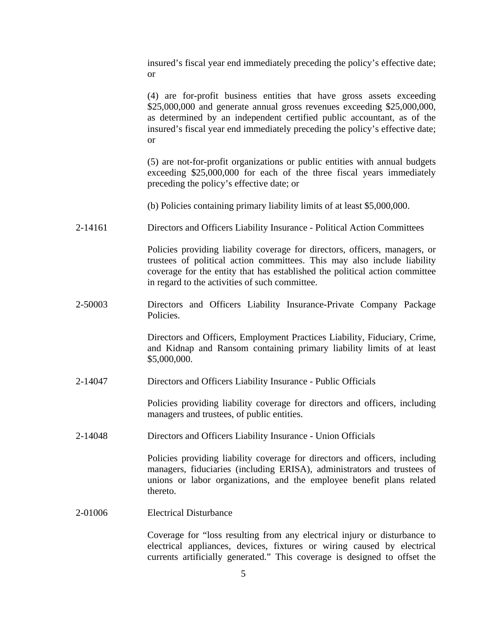insured's fiscal year end immediately preceding the policy's effective date; or

(4) are for-profit business entities that have gross assets exceeding \$25,000,000 and generate annual gross revenues exceeding \$25,000,000, as determined by an independent certified public accountant, as of the insured's fiscal year end immediately preceding the policy's effective date; or

(5) are not-for-profit organizations or public entities with annual budgets exceeding \$25,000,000 for each of the three fiscal years immediately preceding the policy's effective date; or

(b) Policies containing primary liability limits of at least \$5,000,000.

2-14161 Directors and Officers Liability Insurance - Political Action Committees

Policies providing liability coverage for directors, officers, managers, or trustees of political action committees. This may also include liability coverage for the entity that has established the political action committee in regard to the activities of such committee.

2-50003 Directors and Officers Liability Insurance-Private Company Package Policies.

> Directors and Officers, Employment Practices Liability, Fiduciary, Crime, and Kidnap and Ransom containing primary liability limits of at least \$5,000,000.

2-14047 Directors and Officers Liability Insurance - Public Officials

Policies providing liability coverage for directors and officers, including managers and trustees, of public entities.

2-14048 Directors and Officers Liability Insurance - Union Officials

Policies providing liability coverage for directors and officers, including managers, fiduciaries (including ERISA), administrators and trustees of unions or labor organizations, and the employee benefit plans related thereto.

2-01006 Electrical Disturbance

Coverage for "loss resulting from any electrical injury or disturbance to electrical appliances, devices, fixtures or wiring caused by electrical currents artificially generated." This coverage is designed to offset the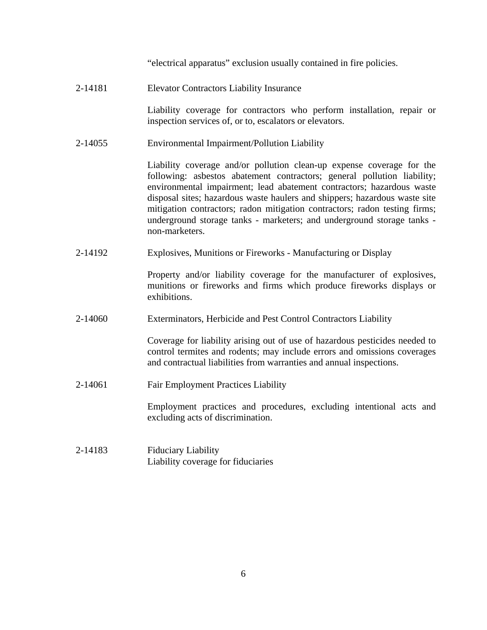"electrical apparatus" exclusion usually contained in fire policies.

2-14181 Elevator Contractors Liability Insurance

Liability coverage for contractors who perform installation, repair or inspection services of, or to, escalators or elevators.

2-14055 Environmental Impairment/Pollution Liability

Liability coverage and/or pollution clean-up expense coverage for the following: asbestos abatement contractors; general pollution liability; environmental impairment; lead abatement contractors; hazardous waste disposal sites; hazardous waste haulers and shippers; hazardous waste site mitigation contractors; radon mitigation contractors; radon testing firms; underground storage tanks - marketers; and underground storage tanks non-marketers.

2-14192 Explosives, Munitions or Fireworks - Manufacturing or Display

Property and/or liability coverage for the manufacturer of explosives, munitions or fireworks and firms which produce fireworks displays or exhibitions.

2-14060 Exterminators, Herbicide and Pest Control Contractors Liability

Coverage for liability arising out of use of hazardous pesticides needed to control termites and rodents; may include errors and omissions coverages and contractual liabilities from warranties and annual inspections.

2-14061 Fair Employment Practices Liability

Employment practices and procedures, excluding intentional acts and excluding acts of discrimination.

2-14183 Fiduciary Liability Liability coverage for fiduciaries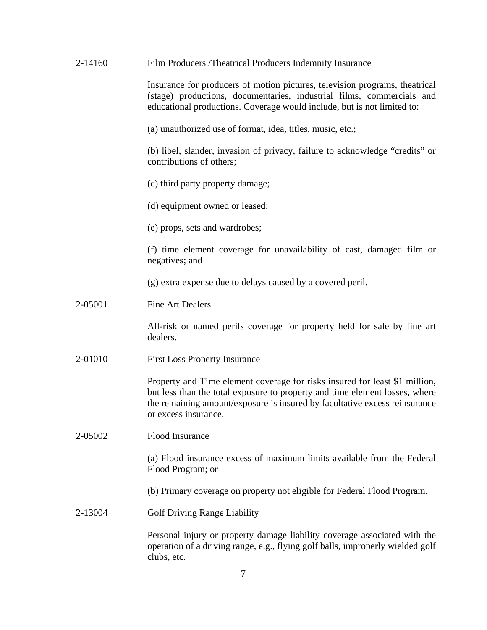| 2-14160 | Film Producers /Theatrical Producers Indemnity Insurance                                                                                                                                                                                                        |
|---------|-----------------------------------------------------------------------------------------------------------------------------------------------------------------------------------------------------------------------------------------------------------------|
|         | Insurance for producers of motion pictures, television programs, theatrical<br>(stage) productions, documentaries, industrial films, commercials and<br>educational productions. Coverage would include, but is not limited to:                                 |
|         | (a) unauthorized use of format, idea, titles, music, etc.;                                                                                                                                                                                                      |
|         | (b) libel, slander, invasion of privacy, failure to acknowledge "credits" or<br>contributions of others;                                                                                                                                                        |
|         | (c) third party property damage;                                                                                                                                                                                                                                |
|         | (d) equipment owned or leased;                                                                                                                                                                                                                                  |
|         | (e) props, sets and wardrobes;                                                                                                                                                                                                                                  |
|         | (f) time element coverage for unavailability of cast, damaged film or<br>negatives; and                                                                                                                                                                         |
|         | (g) extra expense due to delays caused by a covered peril.                                                                                                                                                                                                      |
| 2-05001 | <b>Fine Art Dealers</b>                                                                                                                                                                                                                                         |
|         | All-risk or named perils coverage for property held for sale by fine art<br>dealers.                                                                                                                                                                            |
| 2-01010 | <b>First Loss Property Insurance</b>                                                                                                                                                                                                                            |
|         | Property and Time element coverage for risks insured for least \$1 million,<br>but less than the total exposure to property and time element losses, where<br>the remaining amount/exposure is insured by facultative excess reinsurance<br>or excess insurance |
| 2-05002 | <b>Flood Insurance</b>                                                                                                                                                                                                                                          |
|         | (a) Flood insurance excess of maximum limits available from the Federal<br>Flood Program; or                                                                                                                                                                    |
|         | (b) Primary coverage on property not eligible for Federal Flood Program.                                                                                                                                                                                        |
| 2-13004 | <b>Golf Driving Range Liability</b>                                                                                                                                                                                                                             |
|         | Personal injury or property damage liability coverage associated with the<br>operation of a driving range, e.g., flying golf balls, improperly wielded golf<br>clubs, etc.                                                                                      |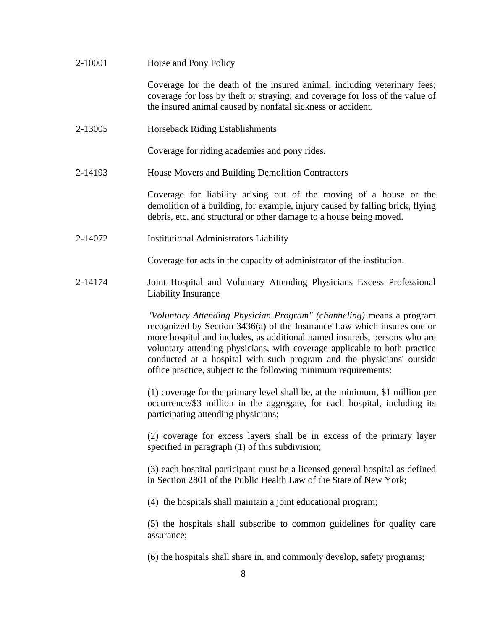| 2-10001 | Horse and Pony Policy                                                                                                                                                                                                                                                                                                                                                                                                                                 |
|---------|-------------------------------------------------------------------------------------------------------------------------------------------------------------------------------------------------------------------------------------------------------------------------------------------------------------------------------------------------------------------------------------------------------------------------------------------------------|
|         | Coverage for the death of the insured animal, including veterinary fees;<br>coverage for loss by theft or straying; and coverage for loss of the value of<br>the insured animal caused by nonfatal sickness or accident.                                                                                                                                                                                                                              |
| 2-13005 | Horseback Riding Establishments                                                                                                                                                                                                                                                                                                                                                                                                                       |
|         | Coverage for riding academies and pony rides.                                                                                                                                                                                                                                                                                                                                                                                                         |
| 2-14193 | House Movers and Building Demolition Contractors                                                                                                                                                                                                                                                                                                                                                                                                      |
|         | Coverage for liability arising out of the moving of a house or the<br>demolition of a building, for example, injury caused by falling brick, flying<br>debris, etc. and structural or other damage to a house being moved.                                                                                                                                                                                                                            |
| 2-14072 | <b>Institutional Administrators Liability</b>                                                                                                                                                                                                                                                                                                                                                                                                         |
|         | Coverage for acts in the capacity of administrator of the institution.                                                                                                                                                                                                                                                                                                                                                                                |
| 2-14174 | Joint Hospital and Voluntary Attending Physicians Excess Professional<br><b>Liability Insurance</b>                                                                                                                                                                                                                                                                                                                                                   |
|         | "Voluntary Attending Physician Program" (channeling) means a program<br>recognized by Section 3436(a) of the Insurance Law which insures one or<br>more hospital and includes, as additional named insureds, persons who are<br>voluntary attending physicians, with coverage applicable to both practice<br>conducted at a hospital with such program and the physicians' outside<br>office practice, subject to the following minimum requirements: |
|         | (1) coverage for the primary level shall be, at the minimum, \$1 million per<br>occurrence/\$3 million in the aggregate, for each hospital, including its<br>participating attending physicians;                                                                                                                                                                                                                                                      |
|         | (2) coverage for excess layers shall be in excess of the primary layer<br>specified in paragraph (1) of this subdivision;                                                                                                                                                                                                                                                                                                                             |
|         | (3) each hospital participant must be a licensed general hospital as defined<br>in Section 2801 of the Public Health Law of the State of New York;                                                                                                                                                                                                                                                                                                    |
|         | (4) the hospitals shall maintain a joint educational program;                                                                                                                                                                                                                                                                                                                                                                                         |
|         | (5) the hospitals shall subscribe to common guidelines for quality care<br>assurance;                                                                                                                                                                                                                                                                                                                                                                 |
|         | (6) the hospitals shall share in, and commonly develop, safety programs;                                                                                                                                                                                                                                                                                                                                                                              |
|         | 8                                                                                                                                                                                                                                                                                                                                                                                                                                                     |
|         |                                                                                                                                                                                                                                                                                                                                                                                                                                                       |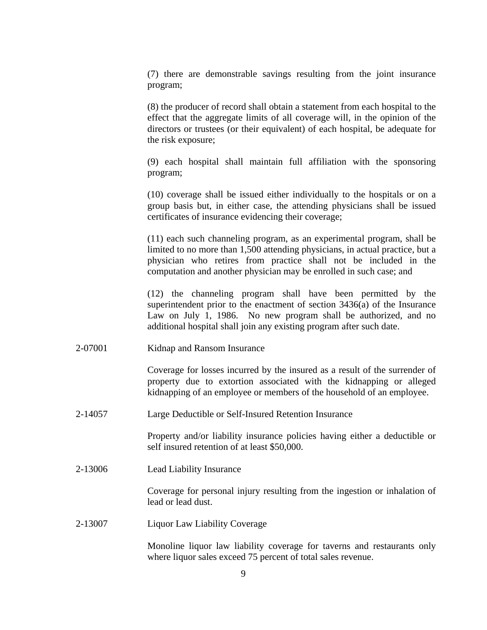(7) there are demonstrable savings resulting from the joint insurance program;

(8) the producer of record shall obtain a statement from each hospital to the effect that the aggregate limits of all coverage will, in the opinion of the directors or trustees (or their equivalent) of each hospital, be adequate for the risk exposure;

(9) each hospital shall maintain full affiliation with the sponsoring program;

(10) coverage shall be issued either individually to the hospitals or on a group basis but, in either case, the attending physicians shall be issued certificates of insurance evidencing their coverage;

(11) each such channeling program, as an experimental program, shall be limited to no more than 1,500 attending physicians, in actual practice, but a physician who retires from practice shall not be included in the computation and another physician may be enrolled in such case; and

(12) the channeling program shall have been permitted by the superintendent prior to the enactment of section 3436(a) of the Insurance Law on July 1, 1986. No new program shall be authorized, and no additional hospital shall join any existing program after such date.

2-07001 Kidnap and Ransom Insurance

Coverage for losses incurred by the insured as a result of the surrender of property due to extortion associated with the kidnapping or alleged kidnapping of an employee or members of the household of an employee.

2-14057 Large Deductible or Self-Insured Retention Insurance

Property and/or liability insurance policies having either a deductible or self insured retention of at least \$50,000.

2-13006 Lead Liability Insurance

Coverage for personal injury resulting from the ingestion or inhalation of lead or lead dust.

2-13007 Liquor Law Liability Coverage

Monoline liquor law liability coverage for taverns and restaurants only where liquor sales exceed 75 percent of total sales revenue.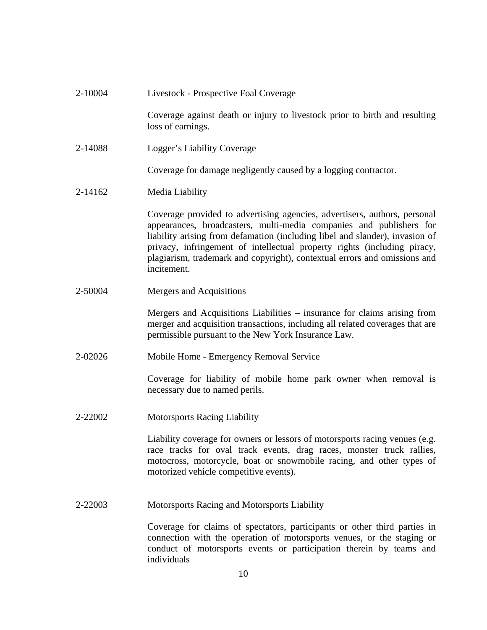| 2-10004 | Livestock - Prospective Foal Coverage                                                                                                                                                                                                                                                                                                                                                                    |
|---------|----------------------------------------------------------------------------------------------------------------------------------------------------------------------------------------------------------------------------------------------------------------------------------------------------------------------------------------------------------------------------------------------------------|
|         | Coverage against death or injury to livestock prior to birth and resulting<br>loss of earnings.                                                                                                                                                                                                                                                                                                          |
| 2-14088 | Logger's Liability Coverage                                                                                                                                                                                                                                                                                                                                                                              |
|         | Coverage for damage negligently caused by a logging contractor.                                                                                                                                                                                                                                                                                                                                          |
| 2-14162 | Media Liability                                                                                                                                                                                                                                                                                                                                                                                          |
|         | Coverage provided to advertising agencies, advertisers, authors, personal<br>appearances, broadcasters, multi-media companies and publishers for<br>liability arising from defamation (including libel and slander), invasion of<br>privacy, infringement of intellectual property rights (including piracy,<br>plagiarism, trademark and copyright), contextual errors and omissions and<br>incitement. |
| 2-50004 | Mergers and Acquisitions                                                                                                                                                                                                                                                                                                                                                                                 |
|         | Mergers and Acquisitions Liabilities – insurance for claims arising from<br>merger and acquisition transactions, including all related coverages that are<br>permissible pursuant to the New York Insurance Law.                                                                                                                                                                                         |
| 2-02026 | Mobile Home - Emergency Removal Service                                                                                                                                                                                                                                                                                                                                                                  |
|         | Coverage for liability of mobile home park owner when removal is<br>necessary due to named perils.                                                                                                                                                                                                                                                                                                       |
| 2-22002 | <b>Motorsports Racing Liability</b>                                                                                                                                                                                                                                                                                                                                                                      |
|         | Liability coverage for owners or lessors of motorsports racing venues (e.g.<br>race tracks for oval track events, drag races, monster truck rallies,<br>motocross, motorcycle, boat or snowmobile racing, and other types of<br>motorized vehicle competitive events).                                                                                                                                   |
| 2-22003 | Motorsports Racing and Motorsports Liability                                                                                                                                                                                                                                                                                                                                                             |
|         | Coverage for claims of spectators, participants or other third parties in<br>connection with the operation of motorsports venues, or the staging or<br>conduct of motorsports events or participation therein by teams and<br>individuals                                                                                                                                                                |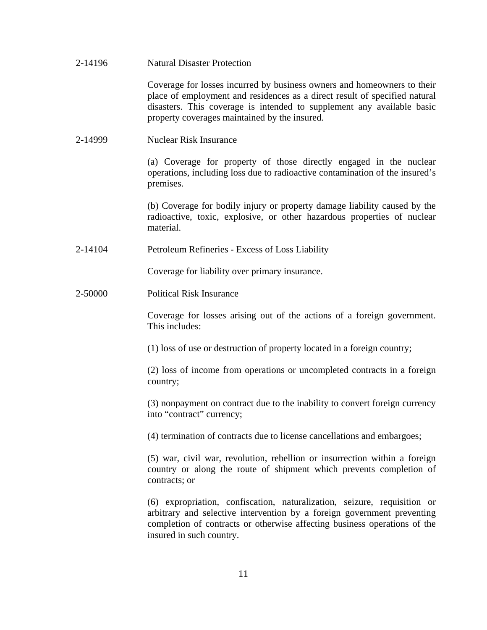| 2-14196 | <b>Natural Disaster Protection</b> |
|---------|------------------------------------|
|         |                                    |

Coverage for losses incurred by business owners and homeowners to their place of employment and residences as a direct result of specified natural disasters. This coverage is intended to supplement any available basic property coverages maintained by the insured.

2-14999 Nuclear Risk Insurance

(a) Coverage for property of those directly engaged in the nuclear operations, including loss due to radioactive contamination of the insured's premises.

(b) Coverage for bodily injury or property damage liability caused by the radioactive, toxic, explosive, or other hazardous properties of nuclear material.

2-14104 Petroleum Refineries - Excess of Loss Liability

Coverage for liability over primary insurance.

2-50000 Political Risk Insurance

Coverage for losses arising out of the actions of a foreign government. This includes:

(1) loss of use or destruction of property located in a foreign country;

(2) loss of income from operations or uncompleted contracts in a foreign country;

(3) nonpayment on contract due to the inability to convert foreign currency into "contract" currency;

(4) termination of contracts due to license cancellations and embargoes;

(5) war, civil war, revolution, rebellion or insurrection within a foreign country or along the route of shipment which prevents completion of contracts; or

(6) expropriation, confiscation, naturalization, seizure, requisition or arbitrary and selective intervention by a foreign government preventing completion of contracts or otherwise affecting business operations of the insured in such country.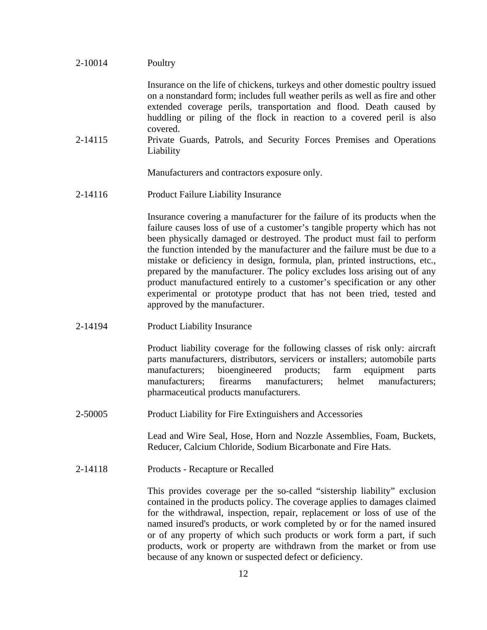## 2-10014 Poultry

Insurance on the life of chickens, turkeys and other domestic poultry issued on a nonstandard form; includes full weather perils as well as fire and other extended coverage perils, transportation and flood. Death caused by huddling or piling of the flock in reaction to a covered peril is also covered.

2-14115 Private Guards, Patrols, and Security Forces Premises and Operations Liability

Manufacturers and contractors exposure only.

2-14116 Product Failure Liability Insurance

Insurance covering a manufacturer for the failure of its products when the failure causes loss of use of a customer's tangible property which has not been physically damaged or destroyed. The product must fail to perform the function intended by the manufacturer and the failure must be due to a mistake or deficiency in design, formula, plan, printed instructions, etc., prepared by the manufacturer. The policy excludes loss arising out of any product manufactured entirely to a customer's specification or any other experimental or prototype product that has not been tried, tested and approved by the manufacturer.

2-14194 Product Liability Insurance

Product liability coverage for the following classes of risk only: aircraft parts manufacturers, distributors, servicers or installers; automobile parts manufacturers; bioengineered products; farm equipment parts manufacturers; firearms manufacturers; helmet manufacturers; pharmaceutical products manufacturers.

2-50005 Product Liability for Fire Extinguishers and Accessories

Lead and Wire Seal, Hose, Horn and Nozzle Assemblies, Foam, Buckets, Reducer, Calcium Chloride, Sodium Bicarbonate and Fire Hats.

2-14118 Products - Recapture or Recalled

This provides coverage per the so-called "sistership liability" exclusion contained in the products policy. The coverage applies to damages claimed for the withdrawal, inspection, repair, replacement or loss of use of the named insured's products, or work completed by or for the named insured or of any property of which such products or work form a part, if such products, work or property are withdrawn from the market or from use because of any known or suspected defect or deficiency.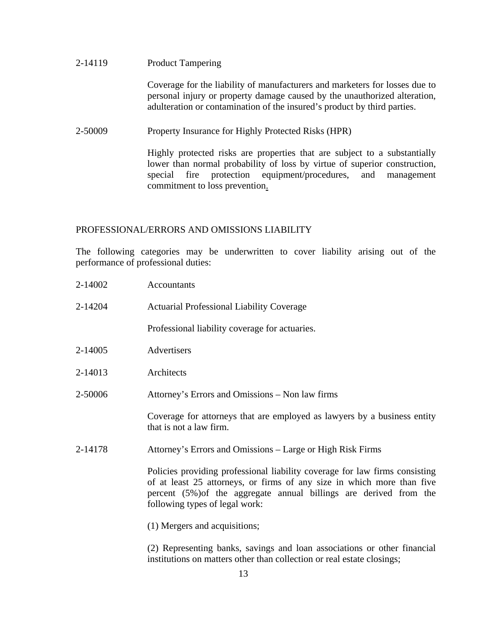## 2-14119 Product Tampering

Coverage for the liability of manufacturers and marketers for losses due to personal injury or property damage caused by the unauthorized alteration, adulteration or contamination of the insured's product by third parties.

2-50009 Property Insurance for Highly Protected Risks (HPR)

Highly protected risks are properties that are subject to a substantially lower than normal probability of loss by virtue of superior construction, special fire protection equipment/procedures, and management commitment to loss prevention.

## PROFESSIONAL/ERRORS AND OMISSIONS LIABILITY

The following categories may be underwritten to cover liability arising out of the performance of professional duties:

| 2-14002 | Accountants                                                                                                                                                                                                                                                   |
|---------|---------------------------------------------------------------------------------------------------------------------------------------------------------------------------------------------------------------------------------------------------------------|
| 2-14204 | <b>Actuarial Professional Liability Coverage</b>                                                                                                                                                                                                              |
|         | Professional liability coverage for actuaries.                                                                                                                                                                                                                |
| 2-14005 | Advertisers                                                                                                                                                                                                                                                   |
| 2-14013 | Architects                                                                                                                                                                                                                                                    |
| 2-50006 | Attorney's Errors and Omissions – Non law firms                                                                                                                                                                                                               |
|         | Coverage for attorneys that are employed as lawyers by a business entity<br>that is not a law firm.                                                                                                                                                           |
| 2-14178 | Attorney's Errors and Omissions – Large or High Risk Firms                                                                                                                                                                                                    |
|         | Policies providing professional liability coverage for law firms consisting<br>of at least 25 attorneys, or firms of any size in which more than five<br>percent (5%) of the aggregate annual billings are derived from the<br>following types of legal work: |
|         | (1) Mergers and acquisitions;                                                                                                                                                                                                                                 |
|         | (2) Representing banks, savings and loan associations or other financial                                                                                                                                                                                      |

(2) Representing banks, savings and loan associations or other financial institutions on matters other than collection or real estate closings;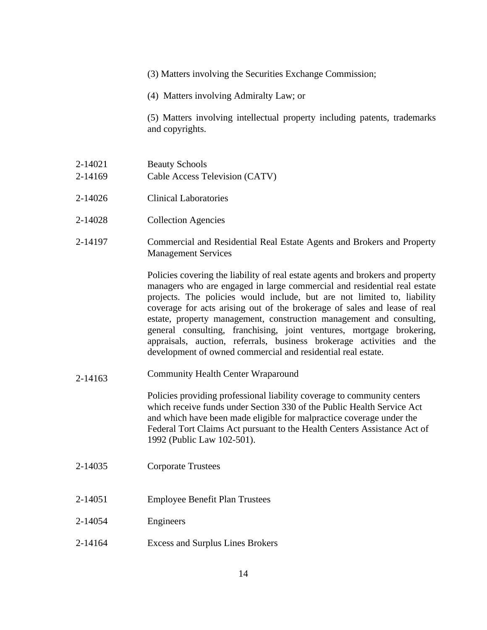- (3) Matters involving the Securities Exchange Commission;
- (4) Matters involving Admiralty Law; or

(5) Matters involving intellectual property including patents, trademarks and copyrights.

- 2-14021 Beauty Schools 2-14169 Cable Access Television (CATV)
- 2-14026 Clinical Laboratories
- 2-14028 Collection Agencies
- 2-14197 Commercial and Residential Real Estate Agents and Brokers and Property Management Services

Policies covering the liability of real estate agents and brokers and property managers who are engaged in large commercial and residential real estate projects. The policies would include, but are not limited to, liability coverage for acts arising out of the brokerage of sales and lease of real estate, property management, construction management and consulting, general consulting, franchising, joint ventures, mortgage brokering, appraisals, auction, referrals, business brokerage activities and the development of owned commercial and residential real estate.

Community Health Center Wraparound 2-14163

Policies providing professional liability coverage to community centers which receive funds under Section 330 of the Public Health Service Act and which have been made eligible for malpractice coverage under the Federal Tort Claims Act pursuant to the Health Centers Assistance Act of 1992 (Public Law 102-501).

- 2-14035 Corporate Trustees
- 2-14051 Employee Benefit Plan Trustees
- 2-14054 Engineers
- 2-14164 Excess and Surplus Lines Brokers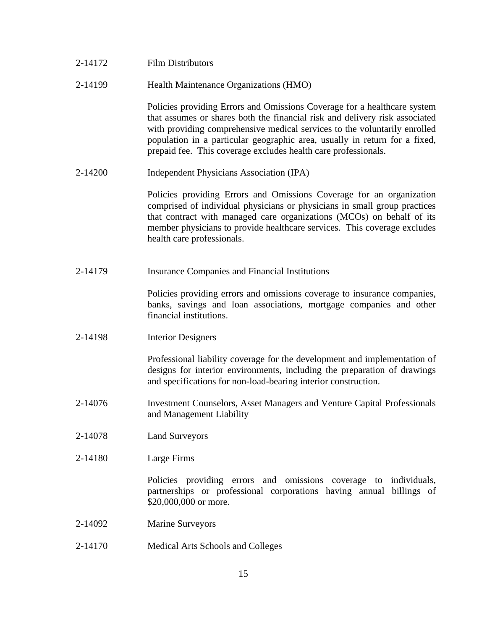| 2-14172 | <b>Film Distributors</b>                                                                                                                                                                                                                                                                                                                                                             |
|---------|--------------------------------------------------------------------------------------------------------------------------------------------------------------------------------------------------------------------------------------------------------------------------------------------------------------------------------------------------------------------------------------|
| 2-14199 | Health Maintenance Organizations (HMO)                                                                                                                                                                                                                                                                                                                                               |
|         | Policies providing Errors and Omissions Coverage for a healthcare system<br>that assumes or shares both the financial risk and delivery risk associated<br>with providing comprehensive medical services to the voluntarily enrolled<br>population in a particular geographic area, usually in return for a fixed,<br>prepaid fee. This coverage excludes health care professionals. |
| 2-14200 | Independent Physicians Association (IPA)                                                                                                                                                                                                                                                                                                                                             |
|         | Policies providing Errors and Omissions Coverage for an organization<br>comprised of individual physicians or physicians in small group practices<br>that contract with managed care organizations (MCOs) on behalf of its<br>member physicians to provide healthcare services. This coverage excludes<br>health care professionals.                                                 |
| 2-14179 | <b>Insurance Companies and Financial Institutions</b>                                                                                                                                                                                                                                                                                                                                |
|         | Policies providing errors and omissions coverage to insurance companies,<br>banks, savings and loan associations, mortgage companies and other<br>financial institutions.                                                                                                                                                                                                            |
| 2-14198 | <b>Interior Designers</b>                                                                                                                                                                                                                                                                                                                                                            |
|         | Professional liability coverage for the development and implementation of<br>designs for interior environments, including the preparation of drawings<br>and specifications for non-load-bearing interior construction.                                                                                                                                                              |
| 2-14076 | <b>Investment Counselors, Asset Managers and Venture Capital Professionals</b><br>and Management Liability                                                                                                                                                                                                                                                                           |
| 2-14078 | <b>Land Surveyors</b>                                                                                                                                                                                                                                                                                                                                                                |
| 2-14180 | Large Firms                                                                                                                                                                                                                                                                                                                                                                          |
|         | Policies providing errors and omissions coverage to individuals,<br>partnerships or professional corporations having annual billings of<br>\$20,000,000 or more.                                                                                                                                                                                                                     |
| 2-14092 | <b>Marine Surveyors</b>                                                                                                                                                                                                                                                                                                                                                              |
| 2-14170 | Medical Arts Schools and Colleges                                                                                                                                                                                                                                                                                                                                                    |
|         |                                                                                                                                                                                                                                                                                                                                                                                      |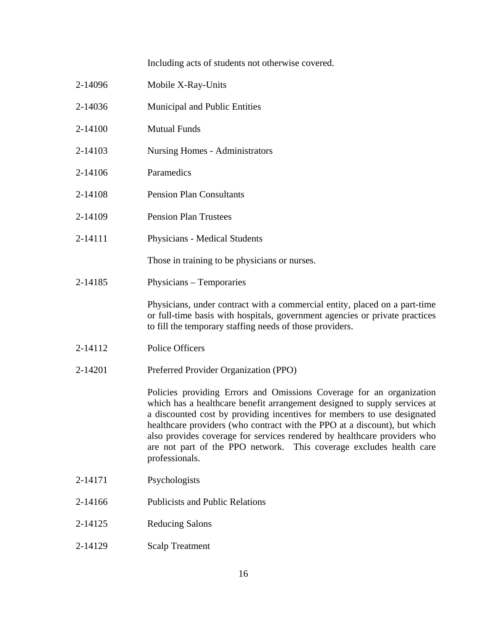Including acts of students not otherwise covered.

- 2-14096 Mobile X-Ray-Units
- 2-14036 Municipal and Public Entities
- 2-14100 Mutual Funds
- 2-14103 Nursing Homes Administrators
- 2-14106 Paramedics
- 2-14108 Pension Plan Consultants
- 2-14109 Pension Plan Trustees
- 2-14111 Physicians Medical Students

Those in training to be physicians or nurses.

2-14185 Physicians – Temporaries

Physicians, under contract with a commercial entity, placed on a part-time or full-time basis with hospitals, government agencies or private practices to fill the temporary staffing needs of those providers.

- 2-14112 Police Officers
- 2-14201 Preferred Provider Organization (PPO)

Policies providing Errors and Omissions Coverage for an organization which has a healthcare benefit arrangement designed to supply services at a discounted cost by providing incentives for members to use designated healthcare providers (who contract with the PPO at a discount), but which also provides coverage for services rendered by healthcare providers who are not part of the PPO network. This coverage excludes health care professionals.

- 2-14171 Psychologists
- 2-14166 Publicists and Public Relations
- 2-14125 Reducing Salons
- 2-14129 Scalp Treatment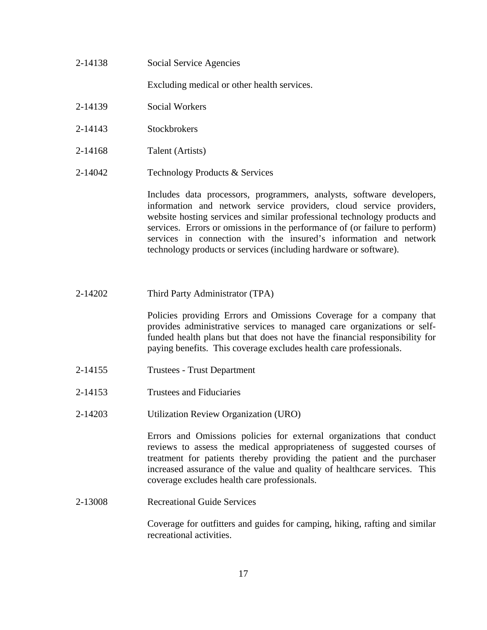| 2-14138 | Social Service Agencies                     |
|---------|---------------------------------------------|
|         | Excluding medical or other health services. |
| 2-14139 | Social Workers                              |
| 2-14143 | <b>Stockbrokers</b>                         |
| 2-14168 | Talent (Artists)                            |
| 2-14042 | <b>Technology Products &amp; Services</b>   |
|         |                                             |

Includes data processors, programmers, analysts, software developers, information and network service providers, cloud service providers, website hosting services and similar professional technology products and services. Errors or omissions in the performance of (or failure to perform) services in connection with the insured's information and network technology products or services (including hardware or software).

2-14202 Third Party Administrator (TPA)

Policies providing Errors and Omissions Coverage for a company that provides administrative services to managed care organizations or selffunded health plans but that does not have the financial responsibility for paying benefits. This coverage excludes health care professionals.

- 2-14155 Trustees Trust Department
- 2-14153 Trustees and Fiduciaries
- 2-14203 Utilization Review Organization (URO)

Errors and Omissions policies for external organizations that conduct reviews to assess the medical appropriateness of suggested courses of treatment for patients thereby providing the patient and the purchaser increased assurance of the value and quality of healthcare services. This coverage excludes health care professionals.

2-13008 Recreational Guide Services

Coverage for outfitters and guides for camping, hiking, rafting and similar recreational activities.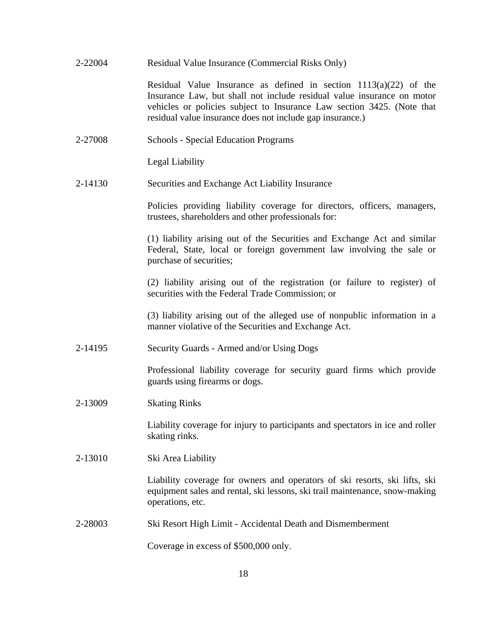| 2-22004 | Residual Value Insurance (Commercial Risks Only)                                                                                                                                                                                                                                     |
|---------|--------------------------------------------------------------------------------------------------------------------------------------------------------------------------------------------------------------------------------------------------------------------------------------|
|         | Residual Value Insurance as defined in section $1113(a)(22)$ of the<br>Insurance Law, but shall not include residual value insurance on motor<br>vehicles or policies subject to Insurance Law section 3425. (Note that<br>residual value insurance does not include gap insurance.) |
| 2-27008 | <b>Schools - Special Education Programs</b>                                                                                                                                                                                                                                          |
|         | Legal Liability                                                                                                                                                                                                                                                                      |
| 2-14130 | Securities and Exchange Act Liability Insurance                                                                                                                                                                                                                                      |
|         | Policies providing liability coverage for directors, officers, managers,<br>trustees, shareholders and other professionals for:                                                                                                                                                      |
|         | (1) liability arising out of the Securities and Exchange Act and similar<br>Federal, State, local or foreign government law involving the sale or<br>purchase of securities;                                                                                                         |
|         | (2) liability arising out of the registration (or failure to register) of<br>securities with the Federal Trade Commission; or                                                                                                                                                        |
|         | (3) liability arising out of the alleged use of nonpublic information in a<br>manner violative of the Securities and Exchange Act.                                                                                                                                                   |
| 2-14195 | Security Guards - Armed and/or Using Dogs                                                                                                                                                                                                                                            |
|         | Professional liability coverage for security guard firms which provide<br>guards using firearms or dogs.                                                                                                                                                                             |
| 2-13009 | <b>Skating Rinks</b>                                                                                                                                                                                                                                                                 |
|         | Liability coverage for injury to participants and spectators in ice and roller<br>skating rinks.                                                                                                                                                                                     |
| 2-13010 | Ski Area Liability                                                                                                                                                                                                                                                                   |
|         | Liability coverage for owners and operators of ski resorts, ski lifts, ski<br>equipment sales and rental, ski lessons, ski trail maintenance, snow-making<br>operations, etc.                                                                                                        |
| 2-28003 | Ski Resort High Limit - Accidental Death and Dismemberment                                                                                                                                                                                                                           |
|         | Coverage in excess of \$500,000 only.                                                                                                                                                                                                                                                |